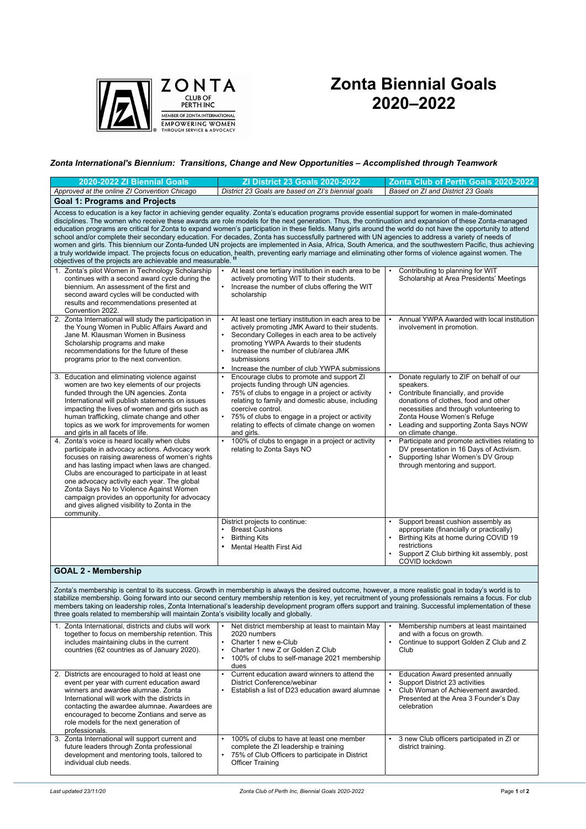*Last updated 23/11/20 Zonta Club of Perth Inc, Biennial Goals 2020-2022* Page **1** of **2**



## **Zonta Biennial Goals 2020–2022**

*Zonta International's Biennium: Transitions, Change and New Opportunities – Accomplished through Teamwork*

| 2020-2022 ZI Biennial Goals                                                                                                                                                                                                                                                                                                                                                                                                                                                                                                                                                                                                                                                                                                                                                                                                                                                                                                                                                                                           | <b>ZI District 23 Goals 2020-2022</b>                                                                                                                                                                                                                                                                                                                                                                                                                     | Zonta Club of Perth Goals 2020-2022                                                                                                                                                                                                                                                                                                                                                                                              |  |  |
|-----------------------------------------------------------------------------------------------------------------------------------------------------------------------------------------------------------------------------------------------------------------------------------------------------------------------------------------------------------------------------------------------------------------------------------------------------------------------------------------------------------------------------------------------------------------------------------------------------------------------------------------------------------------------------------------------------------------------------------------------------------------------------------------------------------------------------------------------------------------------------------------------------------------------------------------------------------------------------------------------------------------------|-----------------------------------------------------------------------------------------------------------------------------------------------------------------------------------------------------------------------------------------------------------------------------------------------------------------------------------------------------------------------------------------------------------------------------------------------------------|----------------------------------------------------------------------------------------------------------------------------------------------------------------------------------------------------------------------------------------------------------------------------------------------------------------------------------------------------------------------------------------------------------------------------------|--|--|
| Approved at the online ZI Convention Chicago                                                                                                                                                                                                                                                                                                                                                                                                                                                                                                                                                                                                                                                                                                                                                                                                                                                                                                                                                                          | District 23 Goals are based on ZI's biennial goals                                                                                                                                                                                                                                                                                                                                                                                                        | Based on ZI and District 23 Goals                                                                                                                                                                                                                                                                                                                                                                                                |  |  |
| <b>Goal 1: Programs and Projects</b>                                                                                                                                                                                                                                                                                                                                                                                                                                                                                                                                                                                                                                                                                                                                                                                                                                                                                                                                                                                  |                                                                                                                                                                                                                                                                                                                                                                                                                                                           |                                                                                                                                                                                                                                                                                                                                                                                                                                  |  |  |
| Access to education is a key factor in achieving gender equality. Zonta's education programs provide essential support for women in male-dominated<br>disciplines. The women who receive these awards are role models for the next generation. Thus, the continuation and expansion of these Zonta-managed<br>education programs are critical for Zonta to expand women's participation in these fields. Many girls around the world do not have the opportunity to attend<br>school and/or complete their secondary education. For decades, Zonta has successfully partnered with UN agencies to address a variety of needs of<br>women and girls. This biennium our Zonta-funded UN projects are implemented in Asia, Africa, South America, and the southwestern Pacific, thus achieving<br>a truly worldwide impact. The projects focus on education, health, preventing early marriage and eliminating other forms of violence against women. The<br>objectives of the projects are achievable and measurable. " |                                                                                                                                                                                                                                                                                                                                                                                                                                                           |                                                                                                                                                                                                                                                                                                                                                                                                                                  |  |  |
| 1. Zonta's pilot Women in Technology Scholarship<br>continues with a second award cycle during the<br>biennium. An assessment of the first and<br>second award cycles will be conducted with<br>results and recommendations presented at<br>Convention 2022.                                                                                                                                                                                                                                                                                                                                                                                                                                                                                                                                                                                                                                                                                                                                                          | At least one tertiary institution in each area to be<br>actively promoting WIT to their students.<br>Increase the number of clubs offering the WIT<br>scholarship                                                                                                                                                                                                                                                                                         | Contributing to planning for WIT<br>Scholarship at Area Presidents' Meetings                                                                                                                                                                                                                                                                                                                                                     |  |  |
| 2. Zonta International will study the participation in<br>the Young Women in Public Affairs Award and<br>Jane M. Klausman Women in Business<br>Scholarship programs and make<br>recommendations for the future of these<br>programs prior to the next convention.                                                                                                                                                                                                                                                                                                                                                                                                                                                                                                                                                                                                                                                                                                                                                     | At least one tertiary institution in each area to be<br>$\bullet$<br>actively promoting JMK Award to their students.<br>Secondary Colleges in each area to be actively<br>$\bullet$<br>promoting YWPA Awards to their students<br>Increase the number of club/area JMK<br>$\bullet$<br>submissions<br>Increase the number of club YWPA submissions<br>$\bullet$                                                                                           | Annual YWPA Awarded with local institution<br>involvement in promotion.                                                                                                                                                                                                                                                                                                                                                          |  |  |
| 3. Education and eliminating violence against<br>women are two key elements of our projects<br>funded through the UN agencies. Zonta<br>International will publish statements on issues<br>impacting the lives of women and girls such as<br>human trafficking, climate change and other<br>topics as we work for improvements for women<br>and girls in all facets of life.<br>4. Zonta's voice is heard locally when clubs<br>participate in advocacy actions. Advocacy work<br>focuses on raising awareness of women's rights                                                                                                                                                                                                                                                                                                                                                                                                                                                                                      | Encourage clubs to promote and support ZI<br>$\bullet$<br>projects funding through UN agencies.<br>$\bullet$<br>75% of clubs to engage in a project or activity<br>relating to family and domestic abuse, including<br>coercive control.<br>75% of clubs to engage in a project or activity<br>$\bullet$<br>relating to effects of climate change on women<br>and girls.<br>100% of clubs to engage in a project or activity<br>relating to Zonta Says NO | Donate regularly to ZIF on behalf of our<br>speakers.<br>Contribute financially, and provide<br>$\bullet$<br>donations of clothes, food and other<br>necessities and through volunteering to<br>Zonta House Women's Refuge<br>Leading and supporting Zonta Says NOW<br>٠<br>on climate change.<br>Participate and promote activities relating to<br>DV presentation in 16 Days of Activism.<br>Supporting Ishar Women's DV Group |  |  |
| and has lasting impact when laws are changed.<br>Clubs are encouraged to participate in at least<br>one advocacy activity each year. The global<br>Zonta Says No to Violence Against Women<br>campaign provides an opportunity for advocacy<br>and gives aligned visibility to Zonta in the<br>community.                                                                                                                                                                                                                                                                                                                                                                                                                                                                                                                                                                                                                                                                                                             | District projects to continue:                                                                                                                                                                                                                                                                                                                                                                                                                            | through mentoring and support.<br>Support breast cushion assembly as                                                                                                                                                                                                                                                                                                                                                             |  |  |
| <b>GOAL 2 - Membership</b>                                                                                                                                                                                                                                                                                                                                                                                                                                                                                                                                                                                                                                                                                                                                                                                                                                                                                                                                                                                            | <b>Breast Cushions</b><br><b>Birthing Kits</b><br><b>Mental Health First Aid</b>                                                                                                                                                                                                                                                                                                                                                                          | appropriate (financially or practically)<br>Birthing Kits at home during COVID 19<br>restrictions<br>Support Z Club birthing kit assembly, post<br>COVID lockdown                                                                                                                                                                                                                                                                |  |  |
|                                                                                                                                                                                                                                                                                                                                                                                                                                                                                                                                                                                                                                                                                                                                                                                                                                                                                                                                                                                                                       |                                                                                                                                                                                                                                                                                                                                                                                                                                                           |                                                                                                                                                                                                                                                                                                                                                                                                                                  |  |  |

Zonta's membership is central to its success. Growth in membership is always the desired outcome, however, a more realistic goal in today's world is to stabilize membership. Going forward into our second century membership retention is key, yet recruitment of young professionals remains a focus. For club members taking on leadership roles, Zonta International's leadership development program offers support and training. Successful implementation of these three goals related to membership will maintain Zonta's visibility locally and globally.

| Zonta International, districts and clubs will work<br>together to focus on membership retention. This<br>includes maintaining clubs in the current<br>countries (62 countries as of January 2020).                                                                                                                                               | Net district membership at least to maintain May<br>2020 numbers<br>Charter 1 new e-Club<br>Charter 1 new Z or Golden Z Club<br>100% of clubs to self-manage 2021 membership<br>dues | Membership numbers at least maintained<br>and with a focus on growth.<br>Continue to support Golden Z Club and Z<br>Club                                                  |
|--------------------------------------------------------------------------------------------------------------------------------------------------------------------------------------------------------------------------------------------------------------------------------------------------------------------------------------------------|--------------------------------------------------------------------------------------------------------------------------------------------------------------------------------------|---------------------------------------------------------------------------------------------------------------------------------------------------------------------------|
| 2. Districts are encouraged to hold at least one<br>event per year with current education award<br>winners and awardee alumnae. Zonta<br>International will work with the districts in<br>contacting the awardee alumnae. Awardees are<br>encouraged to become Zontians and serve as<br>role models for the next generation of<br>professionals. | Current education award winners to attend the<br>District Conference/webinar<br>Establish a list of D23 education award alumnae                                                      | <b>Education Award presented annually</b><br>Support District 23 activities<br>Club Woman of Achievement awarded.<br>Presented at the Area 3 Founder's Day<br>celebration |
| 3. Zonta International will support current and<br>future leaders through Zonta professional<br>development and mentoring tools, tailored to<br>individual club needs.                                                                                                                                                                           | 100% of clubs to have at least one member<br>complete the ZI leadership e training<br>75% of Club Officers to participate in District<br><b>Officer Training</b>                     | 3 new Club officers participated in ZI or<br>district training.                                                                                                           |